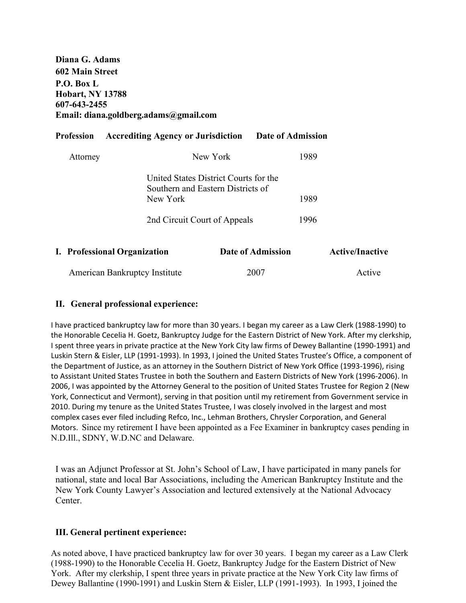**Diana G. Adams 602 Main Street P.O. Box L Hobart, NY 13788 607-643-2455 Email: diana.goldberg.adams@gmail.com**

|  | Profession                           | <b>Accrediting Agency or Jurisdiction</b> |                                                                                    | Date of Admission |      |                        |
|--|--------------------------------------|-------------------------------------------|------------------------------------------------------------------------------------|-------------------|------|------------------------|
|  | Attorney                             |                                           | New York                                                                           |                   | 1989 |                        |
|  |                                      | New York                                  | United States District Courts for the<br>Southern and Eastern Districts of<br>1989 |                   |      |                        |
|  |                                      | 2nd Circuit Court of Appeals              |                                                                                    |                   | 1996 |                        |
|  |                                      | I. Professional Organization              |                                                                                    | Date of Admission |      | <b>Active/Inactive</b> |
|  | <b>American Bankruptcy Institute</b> |                                           |                                                                                    | 2007              |      | Active                 |

#### **II. General professional experience:**

I have practiced bankruptcy law for more than 30 years. I began my career as a Law Clerk (1988-1990) to the Honorable Cecelia H. Goetz, Bankruptcy Judge for the Eastern District of New York. After my clerkship, I spent three years in private practice at the New York City law firms of Dewey Ballantine (1990-1991) and Luskin Stern & Eisler, LLP (1991-1993). In 1993, I joined the United States Trustee's Office, a component of the Department of Justice, as an attorney in the Southern District of New York Office (1993-1996), rising to Assistant United States Trustee in both the Southern and Eastern Districts of New York (1996-2006). In 2006, I was appointed by the Attorney General to the position of United States Trustee for Region 2 (New York, Connecticut and Vermont), serving in that position until my retirement from Government service in 2010. During my tenure as the United States Trustee, I was closely involved in the largest and most complex cases ever filed including Refco, Inc., Lehman Brothers, Chrysler Corporation, and General Motors. Since my retirement I have been appointed as a Fee Examiner in bankruptcy cases pending in N.D.Ill., SDNY, W.D.NC and Delaware.

I was an Adjunct Professor at St. John's School of Law, I have participated in many panels for national, state and local Bar Associations, including the American Bankruptcy Institute and the New York County Lawyer's Association and lectured extensively at the National Advocacy Center.

#### **III. General pertinent experience:**

As noted above, I have practiced bankruptcy law for over 30 years. I began my career as a Law Clerk (1988-1990) to the Honorable Cecelia H. Goetz, Bankruptcy Judge for the Eastern District of New York. After my clerkship, I spent three years in private practice at the New York City law firms of Dewey Ballantine (1990-1991) and Luskin Stern & Eisler, LLP (1991-1993). In 1993, I joined the